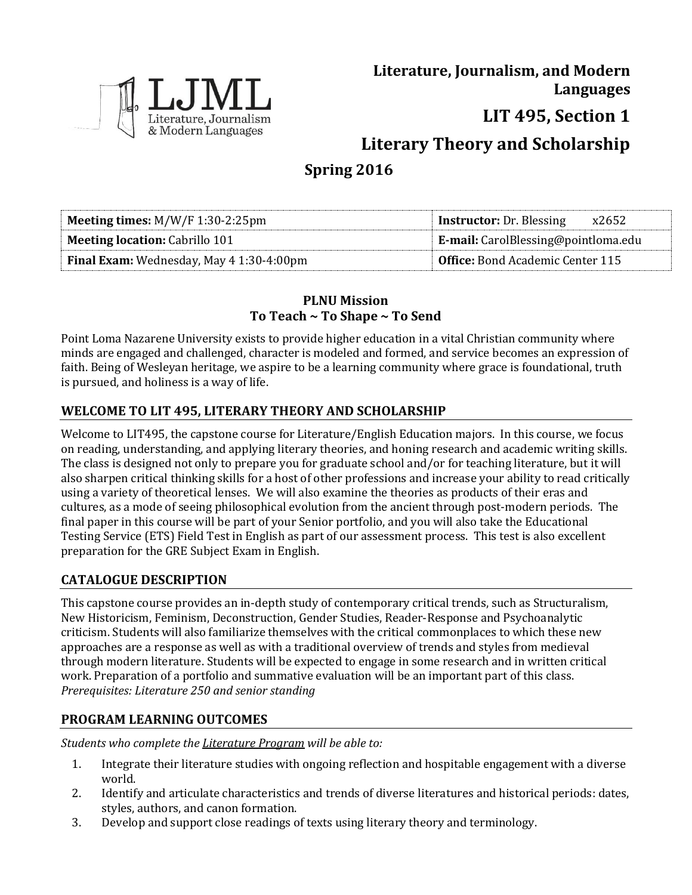

**Literature, Journalism, and Modern Languages**

**LIT 495, Section 1**

**Literary Theory and Scholarship**

# **Spring 2016**

| <b>Meeting times:</b> $M/W/F$ 1:30-2:25pm | <b>Instructor:</b> Dr. Blessing<br>x2652   |
|-------------------------------------------|--------------------------------------------|
| <b>Meeting location: Cabrillo 101</b>     | <b>E-mail:</b> CarolBlessing@pointloma.edu |
| Final Exam: Wednesday, May 4 1:30-4:00pm  | <b>Office:</b> Bond Academic Center 115    |

## **PLNU Mission To Teach ~ To Shape ~ To Send**

Point Loma Nazarene University exists to provide higher education in a vital Christian community where minds are engaged and challenged, character is modeled and formed, and service becomes an expression of faith. Being of Wesleyan heritage, we aspire to be a learning community where grace is foundational, truth is pursued, and holiness is a way of life.

# **WELCOME TO LIT 495, LITERARY THEORY AND SCHOLARSHIP**

Welcome to LIT495, the capstone course for Literature/English Education majors. In this course, we focus on reading, understanding, and applying literary theories, and honing research and academic writing skills. The class is designed not only to prepare you for graduate school and/or for teaching literature, but it will also sharpen critical thinking skills for a host of other professions and increase your ability to read critically using a variety of theoretical lenses. We will also examine the theories as products of their eras and cultures, as a mode of seeing philosophical evolution from the ancient through post-modern periods. The final paper in this course will be part of your Senior portfolio, and you will also take the Educational Testing Service (ETS) Field Test in English as part of our assessment process. This test is also excellent preparation for the GRE Subject Exam in English.

### **CATALOGUE DESCRIPTION**

This capstone course provides an in-depth study of contemporary critical trends, such as Structuralism, New Historicism, Feminism, Deconstruction, Gender Studies, Reader-Response and Psychoanalytic criticism. Students will also familiarize themselves with the critical commonplaces to which these new approaches are a response as well as with a traditional overview of trends and styles from medieval through modern literature. Students will be expected to engage in some research and in written critical work. Preparation of a portfolio and summative evaluation will be an important part of this class. *Prerequisites: Literature 250 and senior standing*

# **PROGRAM LEARNING OUTCOMES**

*Students who complete the Literature Program will be able to:*

- 1. Integrate their literature studies with ongoing reflection and hospitable engagement with a diverse world.
- 2. Identify and articulate characteristics and trends of diverse literatures and historical periods: dates, styles, authors, and canon formation.
- 3. Develop and support close readings of texts using literary theory and terminology.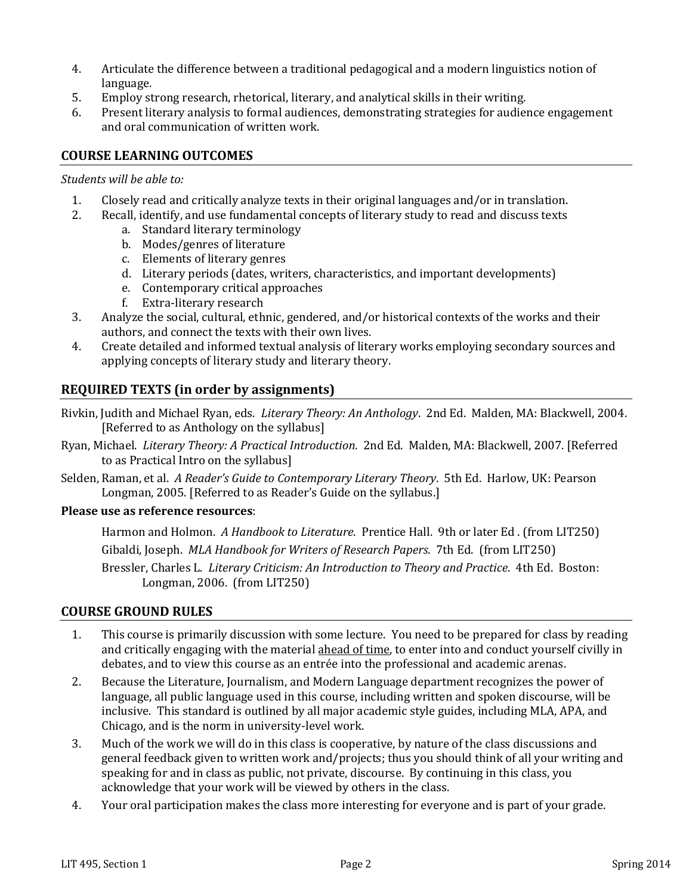- 4. Articulate the difference between a traditional pedagogical and a modern linguistics notion of language.
- 5. Employ strong research, rhetorical, literary, and analytical skills in their writing.
- 6. Present literary analysis to formal audiences, demonstrating strategies for audience engagement and oral communication of written work.

#### **COURSE LEARNING OUTCOMES**

#### *Students will be able to:*

- 1. Closely read and critically analyze texts in their original languages and/or in translation.
- 2. Recall, identify, and use fundamental concepts of literary study to read and discuss texts
	- a. Standard literary terminology
	- b. Modes/genres of literature
	- c. Elements of literary genres
	- d. Literary periods (dates, writers, characteristics, and important developments)
	- e. Contemporary critical approaches
	- f. Extra-literary research
- 3. Analyze the social, cultural, ethnic, gendered, and/or historical contexts of the works and their authors, and connect the texts with their own lives.
- 4. Create detailed and informed textual analysis of literary works employing secondary sources and applying concepts of literary study and literary theory.

#### **REQUIRED TEXTS (in order by assignments)**

- Rivkin, Judith and Michael Ryan, eds. *Literary Theory: An Anthology*. 2nd Ed. Malden, MA: Blackwell, 2004. [Referred to as Anthology on the syllabus]
- Ryan, Michael. *Literary Theory: A Practical Introduction*. 2nd Ed. Malden, MA: Blackwell, 2007. [Referred to as Practical Intro on the syllabus]
- Selden, Raman, et al. *A Reader's Guide to Contemporary Literary Theory*. 5th Ed. Harlow, UK: Pearson Longman, 2005. [Referred to as Reader's Guide on the syllabus.]

#### **Please use as reference resources**:

Harmon and Holmon. *A Handbook to Literature*. Prentice Hall. 9th or later Ed . (from LIT250) Gibaldi, Joseph. *MLA Handbook for Writers of Research Papers*. 7th Ed. (from LIT250) Bressler, Charles L. *Literary Criticism: An Introduction to Theory and Practice*. 4th Ed. Boston: Longman, 2006. (from LIT250)

#### **COURSE GROUND RULES**

- 1. This course is primarily discussion with some lecture. You need to be prepared for class by reading and critically engaging with the material ahead of time, to enter into and conduct yourself civilly in debates, and to view this course as an entrée into the professional and academic arenas.
- 2. Because the Literature, Journalism, and Modern Language department recognizes the power of language, all public language used in this course, including written and spoken discourse, will be inclusive. This standard is outlined by all major academic style guides, including MLA, APA, and Chicago, and is the norm in university-level work.
- 3. Much of the work we will do in this class is cooperative, by nature of the class discussions and general feedback given to written work and/projects; thus you should think of all your writing and speaking for and in class as public, not private, discourse. By continuing in this class, you acknowledge that your work will be viewed by others in the class.
- 4. Your oral participation makes the class more interesting for everyone and is part of your grade.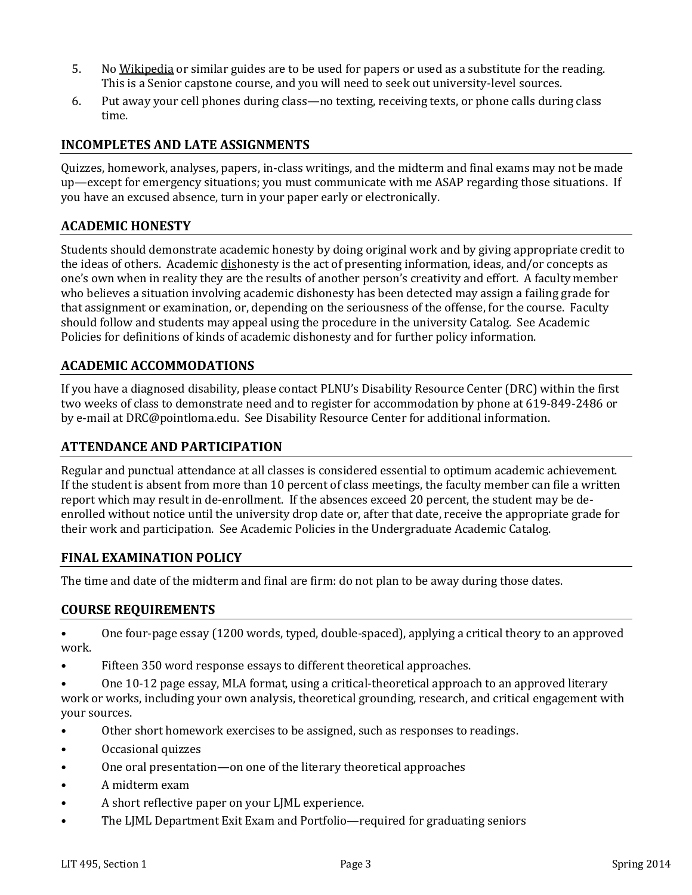- 5. No Wikipedia or similar guides are to be used for papers or used as a substitute for the reading. This is a Senior capstone course, and you will need to seek out university-level sources.
- 6. Put away your cell phones during class—no texting, receiving texts, or phone calls during class time.

#### **INCOMPLETES AND LATE ASSIGNMENTS**

Quizzes, homework, analyses, papers, in-class writings, and the midterm and final exams may not be made up—except for emergency situations; you must communicate with me ASAP regarding those situations. If you have an excused absence, turn in your paper early or electronically.

#### **ACADEMIC HONESTY**

Students should demonstrate academic honesty by doing original work and by giving appropriate credit to the ideas of others. Academic dishonesty is the act of presenting information, ideas, and/or concepts as one's own when in reality they are the results of another person's creativity and effort. A faculty member who believes a situation involving academic dishonesty has been detected may assign a failing grade for that assignment or examination, or, depending on the seriousness of the offense, for the course. Faculty should follow and students may appeal using the procedure in the university Catalog. See Academic Policies for definitions of kinds of academic dishonesty and for further policy information.

#### **ACADEMIC ACCOMMODATIONS**

If you have a diagnosed disability, please contact PLNU's Disability Resource Center (DRC) within the first two weeks of class to demonstrate need and to register for accommodation by phone at 619-849-2486 or by e-mail at DRC@pointloma.edu. See Disability Resource Center for additional information.

#### **ATTENDANCE AND PARTICIPATION**

Regular and punctual attendance at all classes is considered essential to optimum academic achievement. If the student is absent from more than 10 percent of class meetings, the faculty member can file a written report which may result in de-enrollment. If the absences exceed 20 percent, the student may be deenrolled without notice until the university drop date or, after that date, receive the appropriate grade for their work and participation. See Academic Policies in the Undergraduate Academic Catalog.

#### **FINAL EXAMINATION POLICY**

The time and date of the midterm and final are firm: do not plan to be away during those dates.

#### **COURSE REQUIREMENTS**

• One four-page essay (1200 words, typed, double-spaced), applying a critical theory to an approved work.

- Fifteen 350 word response essays to different theoretical approaches.
- One 10-12 page essay, MLA format, using a critical-theoretical approach to an approved literary work or works, including your own analysis, theoretical grounding, research, and critical engagement with your sources.
- Other short homework exercises to be assigned, such as responses to readings.
- Occasional quizzes
- One oral presentation—on one of the literary theoretical approaches
- A midterm exam
- A short reflective paper on your LJML experience.
- The LJML Department Exit Exam and Portfolio—required for graduating seniors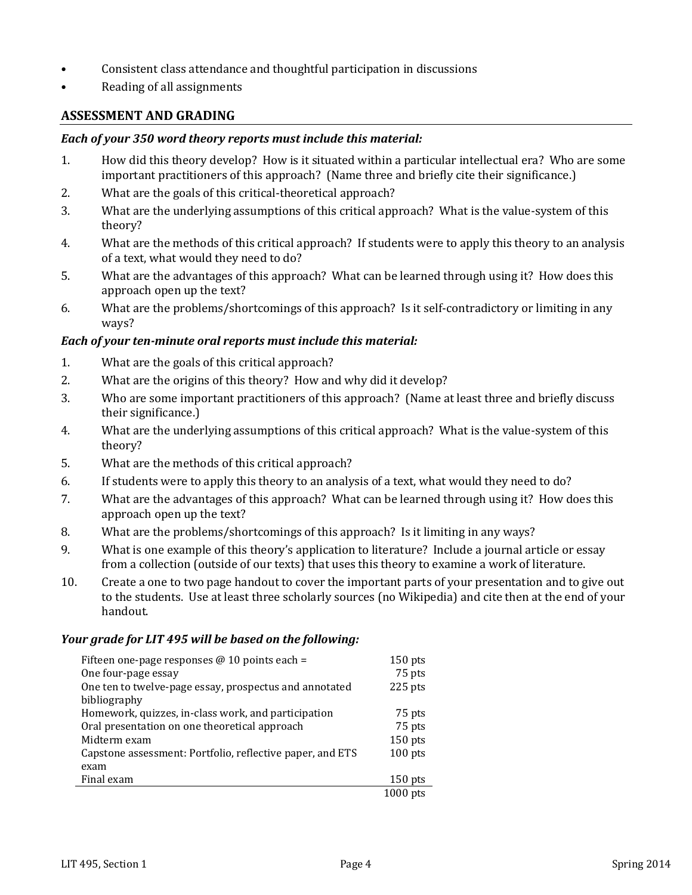- Consistent class attendance and thoughtful participation in discussions
- Reading of all assignments

#### **ASSESSMENT AND GRADING**

#### *Each of your 350 word theory reports must include this material:*

- 1. How did this theory develop? How is it situated within a particular intellectual era? Who are some important practitioners of this approach? (Name three and briefly cite their significance.)
- 2. What are the goals of this critical-theoretical approach?
- 3. What are the underlying assumptions of this critical approach? What is the value-system of this theory?
- 4. What are the methods of this critical approach? If students were to apply this theory to an analysis of a text, what would they need to do?
- 5. What are the advantages of this approach? What can be learned through using it? How does this approach open up the text?
- 6. What are the problems/shortcomings of this approach? Is it self-contradictory or limiting in any ways?

#### *Each of your ten-minute oral reports must include this material:*

- 1. What are the goals of this critical approach?
- 2. What are the origins of this theory? How and why did it develop?
- 3. Who are some important practitioners of this approach? (Name at least three and briefly discuss their significance.)
- 4. What are the underlying assumptions of this critical approach? What is the value-system of this theory?
- 5. What are the methods of this critical approach?
- 6. If students were to apply this theory to an analysis of a text, what would they need to do?
- 7. What are the advantages of this approach? What can be learned through using it? How does this approach open up the text?
- 8. What are the problems/shortcomings of this approach? Is it limiting in any ways?
- 9. What is one example of this theory's application to literature? Include a journal article or essay from a collection (outside of our texts) that uses this theory to examine a work of literature.
- 10. Create a one to two page handout to cover the important parts of your presentation and to give out to the students. Use at least three scholarly sources (no Wikipedia) and cite then at the end of your handout.

#### *Your grade for LIT 495 will be based on the following:*

| Fifteen one-page responses $@10$ points each =            | $150$ pts  |
|-----------------------------------------------------------|------------|
| One four-page essay                                       | 75 pts     |
| One ten to twelve-page essay, prospectus and annotated    | $225$ pts  |
| bibliography                                              |            |
| Homework, quizzes, in-class work, and participation       | 75 pts     |
| Oral presentation on one theoretical approach             | 75 pts     |
| Midterm exam                                              | 150 pts    |
| Capstone assessment: Portfolio, reflective paper, and ETS | $100$ pts  |
| exam                                                      |            |
| Final exam                                                | $150$ pts  |
|                                                           | $1000$ pts |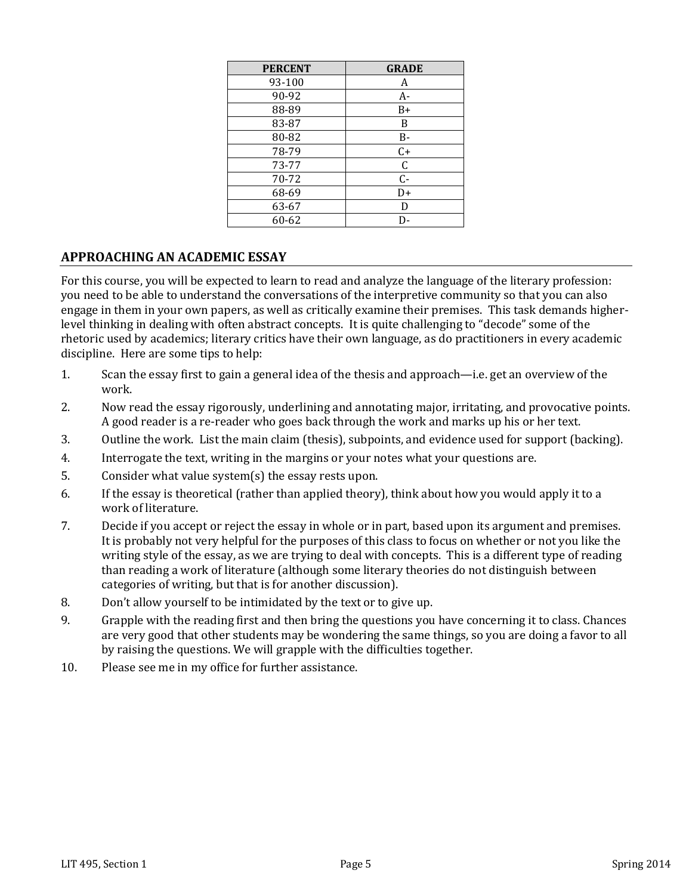| <b>PERCENT</b> | <b>GRADE</b> |
|----------------|--------------|
| 93-100         | A            |
| 90-92          | $A-$         |
| 88-89          | B+           |
| 83-87          | B            |
| 80-82          | B-           |
| 78-79          | $C+$         |
| 73-77          | $\mathsf C$  |
| 70-72          | $C -$        |
| 68-69          | D+           |
| 63-67          | D            |
| 60-62          | D-           |

#### **APPROACHING AN ACADEMIC ESSAY**

For this course, you will be expected to learn to read and analyze the language of the literary profession: you need to be able to understand the conversations of the interpretive community so that you can also engage in them in your own papers, as well as critically examine their premises. This task demands higherlevel thinking in dealing with often abstract concepts. It is quite challenging to "decode" some of the rhetoric used by academics; literary critics have their own language, as do practitioners in every academic discipline. Here are some tips to help:

- 1. Scan the essay first to gain a general idea of the thesis and approach—i.e. get an overview of the work.
- 2. Now read the essay rigorously, underlining and annotating major, irritating, and provocative points. A good reader is a re-reader who goes back through the work and marks up his or her text.
- 3. Outline the work. List the main claim (thesis), subpoints, and evidence used for support (backing).
- 4. Interrogate the text, writing in the margins or your notes what your questions are.
- 5. Consider what value system(s) the essay rests upon.
- 6. If the essay is theoretical (rather than applied theory), think about how you would apply it to a work of literature.
- 7. Decide if you accept or reject the essay in whole or in part, based upon its argument and premises. It is probably not very helpful for the purposes of this class to focus on whether or not you like the writing style of the essay, as we are trying to deal with concepts. This is a different type of reading than reading a work of literature (although some literary theories do not distinguish between categories of writing, but that is for another discussion).
- 8. Don't allow yourself to be intimidated by the text or to give up.
- 9. Grapple with the reading first and then bring the questions you have concerning it to class. Chances are very good that other students may be wondering the same things, so you are doing a favor to all by raising the questions. We will grapple with the difficulties together.
- 10. Please see me in my office for further assistance.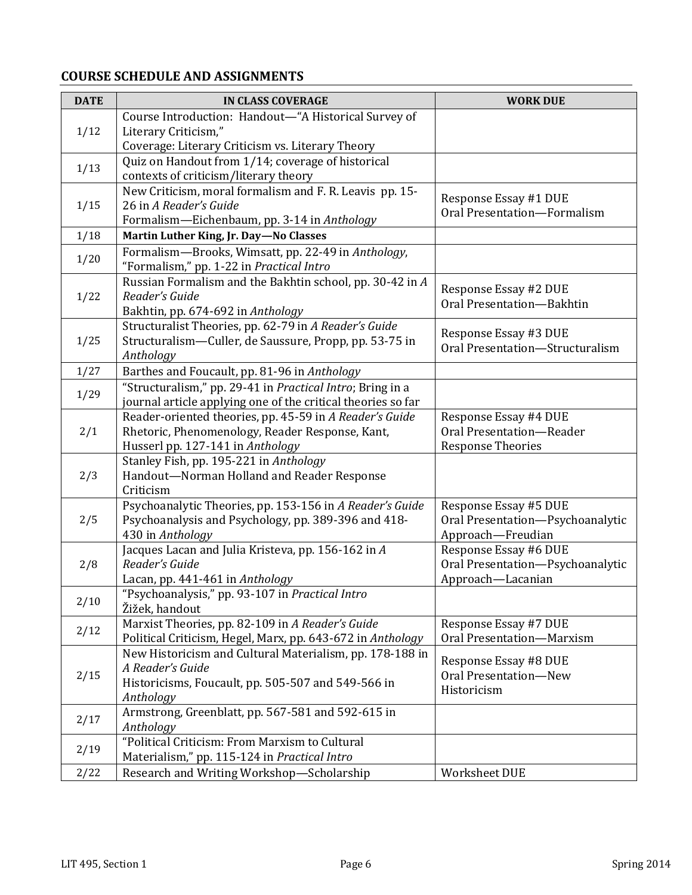## **COURSE SCHEDULE AND ASSIGNMENTS**

| <b>DATE</b> | <b>IN CLASS COVERAGE</b>                                              | <b>WORK DUE</b>                                           |
|-------------|-----------------------------------------------------------------------|-----------------------------------------------------------|
|             | Course Introduction: Handout-"A Historical Survey of                  |                                                           |
| 1/12        | Literary Criticism,"                                                  |                                                           |
|             | Coverage: Literary Criticism vs. Literary Theory                      |                                                           |
|             | Quiz on Handout from 1/14; coverage of historical                     |                                                           |
| 1/13        | contexts of criticism/literary theory                                 |                                                           |
|             | New Criticism, moral formalism and F. R. Leavis pp. 15-               |                                                           |
| 1/15        | 26 in A Reader's Guide                                                | Response Essay #1 DUE<br>Oral Presentation-Formalism      |
|             | Formalism-Eichenbaum, pp. 3-14 in Anthology                           |                                                           |
| 1/18        | Martin Luther King, Jr. Day-No Classes                                |                                                           |
| 1/20        | Formalism-Brooks, Wimsatt, pp. 22-49 in Anthology,                    |                                                           |
|             | "Formalism," pp. 1-22 in Practical Intro                              |                                                           |
|             | Russian Formalism and the Bakhtin school, pp. 30-42 in A              | Response Essay #2 DUE                                     |
| 1/22        | Reader's Guide                                                        | Oral Presentation-Bakhtin                                 |
|             | Bakhtin, pp. 674-692 in Anthology                                     |                                                           |
|             | Structuralist Theories, pp. 62-79 in A Reader's Guide                 | Response Essay #3 DUE                                     |
| 1/25        | Structuralism—Culler, de Saussure, Propp, pp. 53-75 in                | Oral Presentation-Structuralism                           |
|             | Anthology                                                             |                                                           |
| 1/27        | Barthes and Foucault, pp. 81-96 in Anthology                          |                                                           |
| 1/29        | "Structuralism," pp. 29-41 in Practical Intro; Bring in a             |                                                           |
|             | journal article applying one of the critical theories so far          |                                                           |
|             | Reader-oriented theories, pp. 45-59 in A Reader's Guide               | Response Essay #4 DUE                                     |
| 2/1         | Rhetoric, Phenomenology, Reader Response, Kant,                       | Oral Presentation-Reader                                  |
|             | Husserl pp. 127-141 in Anthology                                      | <b>Response Theories</b>                                  |
|             | Stanley Fish, pp. 195-221 in Anthology                                |                                                           |
| 2/3         | Handout-Norman Holland and Reader Response                            |                                                           |
|             | Criticism<br>Psychoanalytic Theories, pp. 153-156 in A Reader's Guide |                                                           |
| 2/5         | Psychoanalysis and Psychology, pp. 389-396 and 418-                   | Response Essay #5 DUE<br>Oral Presentation-Psychoanalytic |
|             | 430 in Anthology                                                      | Approach-Freudian                                         |
|             | Jacques Lacan and Julia Kristeva, pp. 156-162 in A                    | Response Essay #6 DUE                                     |
| 2/8         | Reader's Guide                                                        | Oral Presentation-Psychoanalytic                          |
|             | Lacan, pp. 441-461 in Anthology                                       | Approach-Lacanian                                         |
|             | "Psychoanalysis," pp. 93-107 in Practical Intro                       |                                                           |
| 2/10        | Žižek, handout                                                        |                                                           |
|             | Marxist Theories, pp. 82-109 in A Reader's Guide                      | Response Essay #7 DUE                                     |
| 2/12        | Political Criticism, Hegel, Marx, pp. 643-672 in Anthology            | Oral Presentation-Marxism                                 |
|             | New Historicism and Cultural Materialism, pp. 178-188 in              |                                                           |
|             | A Reader's Guide                                                      | Response Essay #8 DUE                                     |
| 2/15        | Historicisms, Foucault, pp. 505-507 and 549-566 in                    | Oral Presentation-New                                     |
|             | Anthology                                                             | Historicism                                               |
| 2/17        | Armstrong, Greenblatt, pp. 567-581 and 592-615 in                     |                                                           |
|             | Anthology                                                             |                                                           |
| 2/19        | "Political Criticism: From Marxism to Cultural                        |                                                           |
|             | Materialism," pp. 115-124 in Practical Intro                          |                                                           |
| 2/22        | Research and Writing Workshop-Scholarship                             | Worksheet DUE                                             |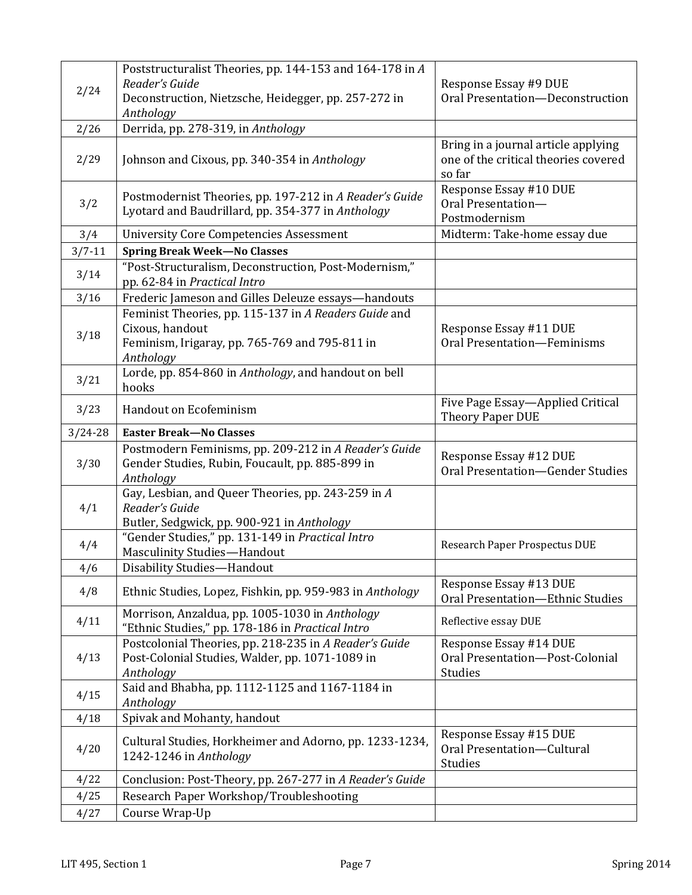|             | Poststructuralist Theories, pp. 144-153 and 164-178 in A                                                                             |                                                                                       |
|-------------|--------------------------------------------------------------------------------------------------------------------------------------|---------------------------------------------------------------------------------------|
| 2/24        | Reader's Guide                                                                                                                       | Response Essay #9 DUE                                                                 |
|             | Deconstruction, Nietzsche, Heidegger, pp. 257-272 in                                                                                 | Oral Presentation-Deconstruction                                                      |
|             | Anthology                                                                                                                            |                                                                                       |
| 2/26        | Derrida, pp. 278-319, in Anthology                                                                                                   |                                                                                       |
| 2/29        | Johnson and Cixous, pp. 340-354 in Anthology                                                                                         | Bring in a journal article applying<br>one of the critical theories covered<br>so far |
| 3/2         | Postmodernist Theories, pp. 197-212 in A Reader's Guide<br>Lyotard and Baudrillard, pp. 354-377 in Anthology                         | Response Essay #10 DUE<br>Oral Presentation-<br>Postmodernism                         |
| 3/4         | <b>University Core Competencies Assessment</b>                                                                                       | Midterm: Take-home essay due                                                          |
| $3/7 - 11$  | <b>Spring Break Week-No Classes</b>                                                                                                  |                                                                                       |
| 3/14        | "Post-Structuralism, Deconstruction, Post-Modernism,"<br>pp. 62-84 in Practical Intro                                                |                                                                                       |
| 3/16        | Frederic Jameson and Gilles Deleuze essays-handouts                                                                                  |                                                                                       |
|             | Feminist Theories, pp. 115-137 in A Readers Guide and                                                                                |                                                                                       |
| 3/18        | Cixous, handout<br>Feminism, Irigaray, pp. 765-769 and 795-811 in                                                                    | Response Essay #11 DUE<br>Oral Presentation-Feminisms                                 |
|             | Anthology                                                                                                                            |                                                                                       |
| 3/21        | Lorde, pp. 854-860 in Anthology, and handout on bell                                                                                 |                                                                                       |
|             | hooks                                                                                                                                |                                                                                       |
| 3/23        | Handout on Ecofeminism                                                                                                               | Five Page Essay-Applied Critical<br><b>Theory Paper DUE</b>                           |
| $3/24 - 28$ | <b>Easter Break-No Classes</b>                                                                                                       |                                                                                       |
|             |                                                                                                                                      |                                                                                       |
| 3/30        | Postmodern Feminisms, pp. 209-212 in A Reader's Guide<br>Gender Studies, Rubin, Foucault, pp. 885-899 in                             | Response Essay #12 DUE<br>Oral Presentation-Gender Studies                            |
| 4/1         | Anthology<br>Gay, Lesbian, and Queer Theories, pp. 243-259 in A<br>Reader's Guide                                                    |                                                                                       |
| 4/4         | Butler, Sedgwick, pp. 900-921 in Anthology<br>"Gender Studies," pp. 131-149 in Practical Intro<br><b>Masculinity Studies-Handout</b> | Research Paper Prospectus DUE                                                         |
| 4/6         | Disability Studies-Handout                                                                                                           |                                                                                       |
| 4/8         | Ethnic Studies, Lopez, Fishkin, pp. 959-983 in Anthology                                                                             | Response Essay #13 DUE<br>Oral Presentation-Ethnic Studies                            |
| 4/11        | Morrison, Anzaldua, pp. 1005-1030 in Anthology<br>"Ethnic Studies," pp. 178-186 in Practical Intro                                   | Reflective essay DUE                                                                  |
| 4/13        | Postcolonial Theories, pp. 218-235 in A Reader's Guide<br>Post-Colonial Studies, Walder, pp. 1071-1089 in<br>Anthology               | Response Essay #14 DUE<br>Oral Presentation-Post-Colonial<br>Studies                  |
| 4/15        | Said and Bhabha, pp. 1112-1125 and 1167-1184 in<br>Anthology                                                                         |                                                                                       |
| 4/18        | Spivak and Mohanty, handout                                                                                                          |                                                                                       |
| 4/20        | Cultural Studies, Horkheimer and Adorno, pp. 1233-1234,<br>1242-1246 in Anthology                                                    | Response Essay #15 DUE<br>Oral Presentation-Cultural<br>Studies                       |
| 4/22        | Conclusion: Post-Theory, pp. 267-277 in A Reader's Guide                                                                             |                                                                                       |
| 4/25        | Research Paper Workshop/Troubleshooting                                                                                              |                                                                                       |